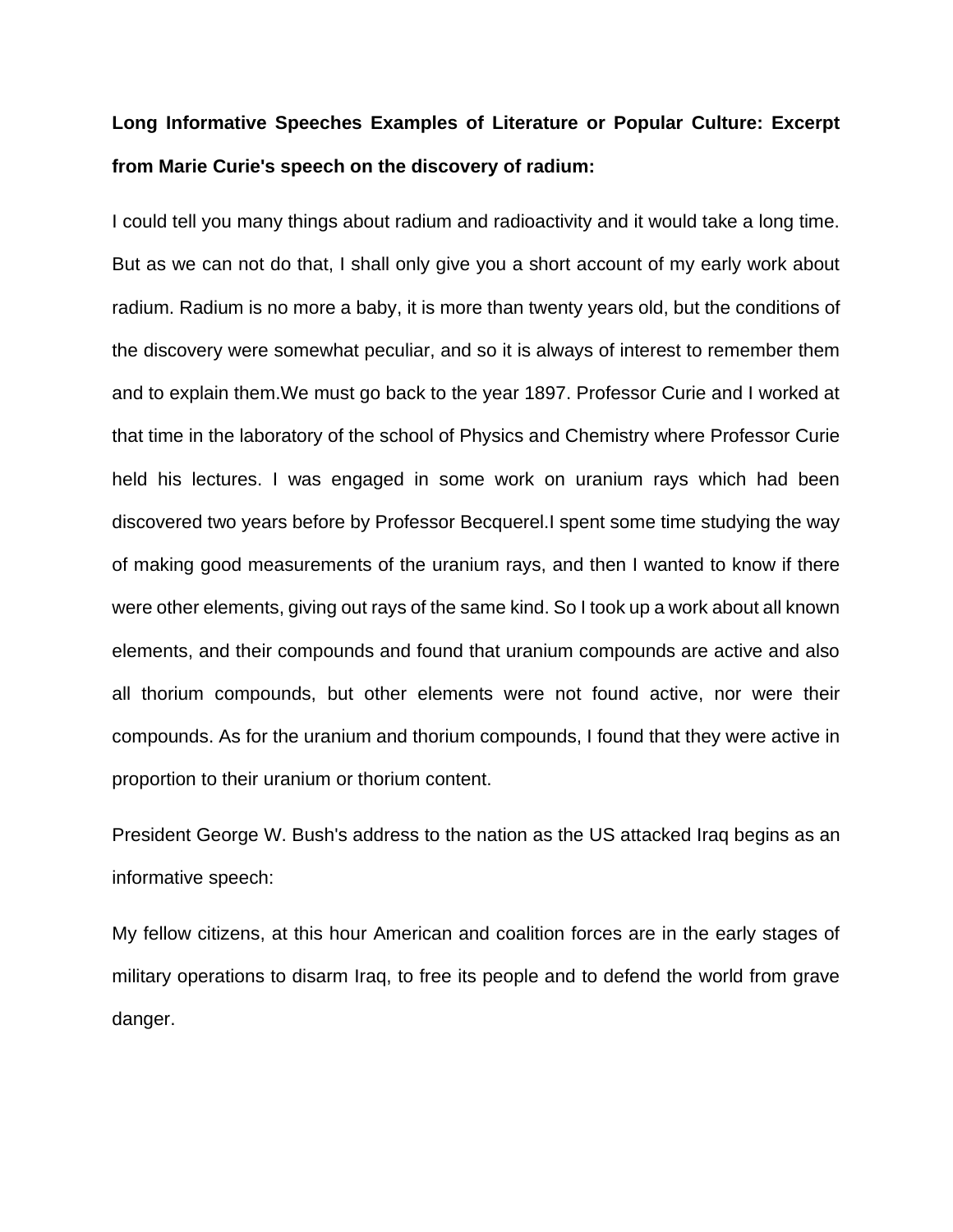## **Long Informative Speeches Examples of Literature or Popular Culture: Excerpt from Marie Curie's speech on the discovery of radium:**

I could tell you many things about radium and radioactivity and it would take a long time. But as we can not do that, I shall only give you a short account of my early work about radium. Radium is no more a baby, it is more than twenty years old, but the conditions of the discovery were somewhat peculiar, and so it is always of interest to remember them and to explain them.We must go back to the year 1897. Professor Curie and I worked at that time in the laboratory of the school of Physics and Chemistry where Professor Curie held his lectures. I was engaged in some work on uranium rays which had been discovered two years before by Professor Becquerel.I spent some time studying the way of making good measurements of the uranium rays, and then I wanted to know if there were other elements, giving out rays of the same kind. So I took up a work about all known elements, and their compounds and found that uranium compounds are active and also all thorium compounds, but other elements were not found active, nor were their compounds. As for the uranium and thorium compounds, I found that they were active in proportion to their uranium or thorium content.

President George W. Bush's address to the nation as the US attacked Iraq begins as an informative speech:

My fellow citizens, at this hour American and coalition forces are in the early stages of military operations to disarm Iraq, to free its people and to defend the world from grave danger.